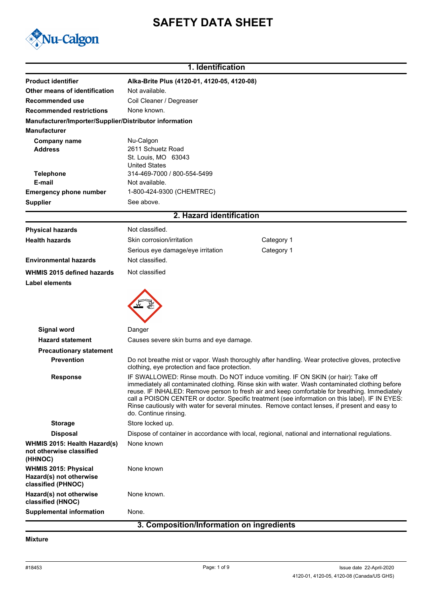# **SAFETY DATA SHEET**



# **1. Identification**

| <b>Product identifier</b><br>Alka-Brite Plus (4120-01, 4120-05, 4120-08)<br>Other means of identification<br>Not available.<br>Coil Cleaner / Degreaser<br>Recommended use<br>None known.<br><b>Recommended restrictions</b><br>Manufacturer/Importer/Supplier/Distributor information                                                                                                                                                                                                                                                 |  |
|----------------------------------------------------------------------------------------------------------------------------------------------------------------------------------------------------------------------------------------------------------------------------------------------------------------------------------------------------------------------------------------------------------------------------------------------------------------------------------------------------------------------------------------|--|
|                                                                                                                                                                                                                                                                                                                                                                                                                                                                                                                                        |  |
|                                                                                                                                                                                                                                                                                                                                                                                                                                                                                                                                        |  |
|                                                                                                                                                                                                                                                                                                                                                                                                                                                                                                                                        |  |
|                                                                                                                                                                                                                                                                                                                                                                                                                                                                                                                                        |  |
| <b>Manufacturer</b>                                                                                                                                                                                                                                                                                                                                                                                                                                                                                                                    |  |
| Nu-Calgon<br><b>Company name</b>                                                                                                                                                                                                                                                                                                                                                                                                                                                                                                       |  |
| 2611 Schuetz Road<br><b>Address</b>                                                                                                                                                                                                                                                                                                                                                                                                                                                                                                    |  |
| St. Louis, MO 63043<br><b>United States</b>                                                                                                                                                                                                                                                                                                                                                                                                                                                                                            |  |
| 314-469-7000 / 800-554-5499<br><b>Telephone</b>                                                                                                                                                                                                                                                                                                                                                                                                                                                                                        |  |
| Not available.<br>E-mail                                                                                                                                                                                                                                                                                                                                                                                                                                                                                                               |  |
| 1-800-424-9300 (CHEMTREC)<br><b>Emergency phone number</b>                                                                                                                                                                                                                                                                                                                                                                                                                                                                             |  |
| See above.<br><b>Supplier</b>                                                                                                                                                                                                                                                                                                                                                                                                                                                                                                          |  |
| 2. Hazard identification                                                                                                                                                                                                                                                                                                                                                                                                                                                                                                               |  |
| Not classified.<br><b>Physical hazards</b>                                                                                                                                                                                                                                                                                                                                                                                                                                                                                             |  |
| <b>Health hazards</b><br>Skin corrosion/irritation<br>Category 1                                                                                                                                                                                                                                                                                                                                                                                                                                                                       |  |
| Serious eye damage/eye irritation<br>Category 1                                                                                                                                                                                                                                                                                                                                                                                                                                                                                        |  |
| Not classified.<br><b>Environmental hazards</b>                                                                                                                                                                                                                                                                                                                                                                                                                                                                                        |  |
| Not classified<br>WHMIS 2015 defined hazards                                                                                                                                                                                                                                                                                                                                                                                                                                                                                           |  |
| Label elements                                                                                                                                                                                                                                                                                                                                                                                                                                                                                                                         |  |
|                                                                                                                                                                                                                                                                                                                                                                                                                                                                                                                                        |  |
| Signal word<br>Danger                                                                                                                                                                                                                                                                                                                                                                                                                                                                                                                  |  |
| Causes severe skin burns and eye damage.<br><b>Hazard statement</b>                                                                                                                                                                                                                                                                                                                                                                                                                                                                    |  |
| <b>Precautionary statement</b>                                                                                                                                                                                                                                                                                                                                                                                                                                                                                                         |  |
| <b>Prevention</b><br>Do not breathe mist or vapor. Wash thoroughly after handling. Wear protective gloves, protective<br>clothing, eye protection and face protection.                                                                                                                                                                                                                                                                                                                                                                 |  |
| IF SWALLOWED: Rinse mouth. Do NOT induce vomiting. IF ON SKIN (or hair): Take off<br><b>Response</b><br>immediately all contaminated clothing. Rinse skin with water. Wash contaminated clothing before<br>reuse. IF INHALED: Remove person to fresh air and keep comfortable for breathing. Immediately<br>call a POISON CENTER or doctor. Specific treatment (see information on this label). IF IN EYES:<br>Rinse cautiously with water for several minutes. Remove contact lenses, if present and easy to<br>do. Continue rinsing. |  |
| Store locked up.<br><b>Storage</b>                                                                                                                                                                                                                                                                                                                                                                                                                                                                                                     |  |
| Dispose of container in accordance with local, regional, national and international regulations.<br><b>Disposal</b>                                                                                                                                                                                                                                                                                                                                                                                                                    |  |
| None known<br>WHMIS 2015: Health Hazard(s)<br>not otherwise classified<br>(HHNOC)                                                                                                                                                                                                                                                                                                                                                                                                                                                      |  |
| None known<br><b>WHMIS 2015: Physical</b><br>Hazard(s) not otherwise<br>classified (PHNOC)                                                                                                                                                                                                                                                                                                                                                                                                                                             |  |
| Hazard(s) not otherwise<br>None known.<br>classified (HNOC)                                                                                                                                                                                                                                                                                                                                                                                                                                                                            |  |
| <b>Supplemental information</b><br>None.                                                                                                                                                                                                                                                                                                                                                                                                                                                                                               |  |

### **3. Composition/Information on ingredients**

### **Mixture**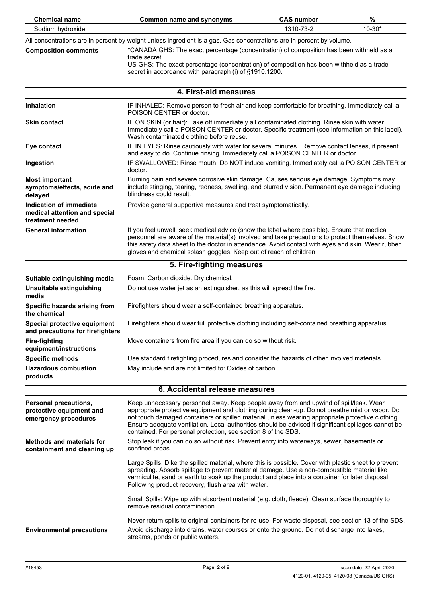| <b>Chemical name</b>                                                             | <b>Common name and synonyms</b>                                                                                                                                                                                                                                                                                                                                                                                                                                      | <b>CAS number</b> | %          |  |
|----------------------------------------------------------------------------------|----------------------------------------------------------------------------------------------------------------------------------------------------------------------------------------------------------------------------------------------------------------------------------------------------------------------------------------------------------------------------------------------------------------------------------------------------------------------|-------------------|------------|--|
| Sodium hydroxide                                                                 |                                                                                                                                                                                                                                                                                                                                                                                                                                                                      | 1310-73-2         | $10 - 30*$ |  |
| <b>Composition comments</b>                                                      | All concentrations are in percent by weight unless ingredient is a gas. Gas concentrations are in percent by volume.<br>*CANADA GHS: The exact percentage (concentration) of composition has been withheld as a<br>trade secret.<br>US GHS: The exact percentage (concentration) of composition has been withheld as a trade<br>secret in accordance with paragraph (i) of §1910.1200.                                                                               |                   |            |  |
|                                                                                  | 4. First-aid measures                                                                                                                                                                                                                                                                                                                                                                                                                                                |                   |            |  |
| <b>Inhalation</b>                                                                | IF INHALED: Remove person to fresh air and keep comfortable for breathing. Immediately call a<br>POISON CENTER or doctor.                                                                                                                                                                                                                                                                                                                                            |                   |            |  |
| <b>Skin contact</b>                                                              | IF ON SKIN (or hair): Take off immediately all contaminated clothing. Rinse skin with water.<br>Immediately call a POISON CENTER or doctor. Specific treatment (see information on this label).<br>Wash contaminated clothing before reuse.                                                                                                                                                                                                                          |                   |            |  |
| Eye contact                                                                      | IF IN EYES: Rinse cautiously with water for several minutes. Remove contact lenses, if present<br>and easy to do. Continue rinsing. Immediately call a POISON CENTER or doctor.                                                                                                                                                                                                                                                                                      |                   |            |  |
| Ingestion                                                                        | IF SWALLOWED: Rinse mouth. Do NOT induce vomiting. Immediately call a POISON CENTER or<br>doctor.                                                                                                                                                                                                                                                                                                                                                                    |                   |            |  |
| <b>Most important</b><br>symptoms/effects, acute and<br>delayed                  | Burning pain and severe corrosive skin damage. Causes serious eye damage. Symptoms may<br>include stinging, tearing, redness, swelling, and blurred vision. Permanent eye damage including<br>blindness could result.                                                                                                                                                                                                                                                |                   |            |  |
| Indication of immediate<br>medical attention and special<br>treatment needed     | Provide general supportive measures and treat symptomatically.                                                                                                                                                                                                                                                                                                                                                                                                       |                   |            |  |
| <b>General information</b>                                                       | If you feel unwell, seek medical advice (show the label where possible). Ensure that medical<br>personnel are aware of the material(s) involved and take precautions to protect themselves. Show<br>this safety data sheet to the doctor in attendance. Avoid contact with eyes and skin. Wear rubber<br>gloves and chemical splash goggles. Keep out of reach of children.                                                                                          |                   |            |  |
|                                                                                  | 5. Fire-fighting measures                                                                                                                                                                                                                                                                                                                                                                                                                                            |                   |            |  |
| Suitable extinguishing media                                                     | Foam. Carbon dioxide. Dry chemical.                                                                                                                                                                                                                                                                                                                                                                                                                                  |                   |            |  |
| Unsuitable extinguishing<br>media                                                | Do not use water jet as an extinguisher, as this will spread the fire.                                                                                                                                                                                                                                                                                                                                                                                               |                   |            |  |
| Specific hazards arising from<br>the chemical                                    | Firefighters should wear a self-contained breathing apparatus.                                                                                                                                                                                                                                                                                                                                                                                                       |                   |            |  |
| Special protective equipment<br>and precautions for firefighters                 | Firefighters should wear full protective clothing including self-contained breathing apparatus.                                                                                                                                                                                                                                                                                                                                                                      |                   |            |  |
| <b>Fire-fighting</b><br>equipment/instructions                                   | Move containers from fire area if you can do so without risk.                                                                                                                                                                                                                                                                                                                                                                                                        |                   |            |  |
| <b>Specific methods</b>                                                          | Use standard firefighting procedures and consider the hazards of other involved materials.                                                                                                                                                                                                                                                                                                                                                                           |                   |            |  |
| <b>Hazardous combustion</b><br>products                                          | May include and are not limited to: Oxides of carbon.                                                                                                                                                                                                                                                                                                                                                                                                                |                   |            |  |
| 6. Accidental release measures                                                   |                                                                                                                                                                                                                                                                                                                                                                                                                                                                      |                   |            |  |
| <b>Personal precautions,</b><br>protective equipment and<br>emergency procedures | Keep unnecessary personnel away. Keep people away from and upwind of spill/leak. Wear<br>appropriate protective equipment and clothing during clean-up. Do not breathe mist or vapor. Do<br>not touch damaged containers or spilled material unless wearing appropriate protective clothing.<br>Ensure adequate ventilation. Local authorities should be advised if significant spillages cannot be<br>contained. For personal protection, see section 8 of the SDS. |                   |            |  |
| <b>Methods and materials for</b><br>containment and cleaning up                  | Stop leak if you can do so without risk. Prevent entry into waterways, sewer, basements or<br>confined areas.                                                                                                                                                                                                                                                                                                                                                        |                   |            |  |
|                                                                                  | Large Spills: Dike the spilled material, where this is possible. Cover with plastic sheet to prevent<br>spreading. Absorb spillage to prevent material damage. Use a non-combustible material like<br>vermiculite, sand or earth to soak up the product and place into a container for later disposal.<br>Following product recovery, flush area with water.                                                                                                         |                   |            |  |
|                                                                                  | Small Spills: Wipe up with absorbent material (e.g. cloth, fleece). Clean surface thoroughly to<br>remove residual contamination.                                                                                                                                                                                                                                                                                                                                    |                   |            |  |
| <b>Environmental precautions</b>                                                 | Never return spills to original containers for re-use. For waste disposal, see section 13 of the SDS.<br>Avoid discharge into drains, water courses or onto the ground. Do not discharge into lakes,<br>streams, ponds or public waters.                                                                                                                                                                                                                             |                   |            |  |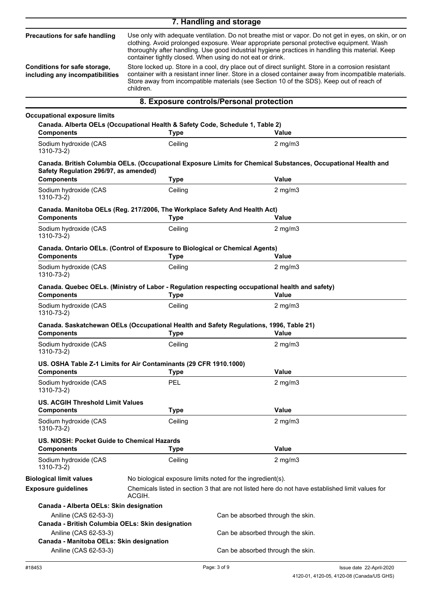|                                                                                                                                           |                                                                                                                                                                         | 7. Handling and storage                                                                                                                                                                                                                                                                                                                                                                                                                                                                                                                                                                                         |
|-------------------------------------------------------------------------------------------------------------------------------------------|-------------------------------------------------------------------------------------------------------------------------------------------------------------------------|-----------------------------------------------------------------------------------------------------------------------------------------------------------------------------------------------------------------------------------------------------------------------------------------------------------------------------------------------------------------------------------------------------------------------------------------------------------------------------------------------------------------------------------------------------------------------------------------------------------------|
| <b>Precautions for safe handling</b><br>Conditions for safe storage,<br>including any incompatibilities                                   | container tightly closed. When using do not eat or drink.<br>children.                                                                                                  | Use only with adequate ventilation. Do not breathe mist or vapor. Do not get in eyes, on skin, or on<br>clothing. Avoid prolonged exposure. Wear appropriate personal protective equipment. Wash<br>thoroughly after handling. Use good industrial hygiene practices in handling this material. Keep<br>Store locked up. Store in a cool, dry place out of direct sunlight. Store in a corrosion resistant<br>container with a resistant inner liner. Store in a closed container away from incompatible materials.<br>Store away from incompatible materials (see Section 10 of the SDS). Keep out of reach of |
|                                                                                                                                           |                                                                                                                                                                         | 8. Exposure controls/Personal protection                                                                                                                                                                                                                                                                                                                                                                                                                                                                                                                                                                        |
|                                                                                                                                           |                                                                                                                                                                         |                                                                                                                                                                                                                                                                                                                                                                                                                                                                                                                                                                                                                 |
| <b>Occupational exposure limits</b><br>Canada. Alberta OELs (Occupational Health & Safety Code, Schedule 1, Table 2)<br><b>Components</b> | <b>Type</b>                                                                                                                                                             | Value                                                                                                                                                                                                                                                                                                                                                                                                                                                                                                                                                                                                           |
| Sodium hydroxide (CAS<br>1310-73-2)                                                                                                       | Ceiling                                                                                                                                                                 | $2$ mg/m $3$                                                                                                                                                                                                                                                                                                                                                                                                                                                                                                                                                                                                    |
| Safety Regulation 296/97, as amended)                                                                                                     |                                                                                                                                                                         | Canada. British Columbia OELs. (Occupational Exposure Limits for Chemical Substances, Occupational Health and                                                                                                                                                                                                                                                                                                                                                                                                                                                                                                   |
| <b>Components</b>                                                                                                                         | <b>Type</b>                                                                                                                                                             | <b>Value</b>                                                                                                                                                                                                                                                                                                                                                                                                                                                                                                                                                                                                    |
| Sodium hydroxide (CAS<br>$1310 - 73 - 2$                                                                                                  | Ceiling                                                                                                                                                                 | $2$ mg/m $3$                                                                                                                                                                                                                                                                                                                                                                                                                                                                                                                                                                                                    |
| Canada. Manitoba OELs (Reg. 217/2006, The Workplace Safety And Health Act)<br><b>Components</b>                                           | <b>Type</b>                                                                                                                                                             | Value                                                                                                                                                                                                                                                                                                                                                                                                                                                                                                                                                                                                           |
| Sodium hydroxide (CAS<br>1310-73-2)                                                                                                       | Ceiling                                                                                                                                                                 | $2$ mg/m $3$                                                                                                                                                                                                                                                                                                                                                                                                                                                                                                                                                                                                    |
| Canada. Ontario OELs. (Control of Exposure to Biological or Chemical Agents)<br><b>Components</b>                                         | <b>Type</b>                                                                                                                                                             | Value                                                                                                                                                                                                                                                                                                                                                                                                                                                                                                                                                                                                           |
| Sodium hydroxide (CAS<br>1310-73-2)                                                                                                       | Ceiling                                                                                                                                                                 | $2$ mg/m $3$                                                                                                                                                                                                                                                                                                                                                                                                                                                                                                                                                                                                    |
| <b>Components</b>                                                                                                                         | <b>Type</b>                                                                                                                                                             | Canada. Quebec OELs. (Ministry of Labor - Regulation respecting occupational health and safety)<br>Value                                                                                                                                                                                                                                                                                                                                                                                                                                                                                                        |
| Sodium hydroxide (CAS<br>1310-73-2)                                                                                                       | Ceiling                                                                                                                                                                 | $2$ mg/m $3$                                                                                                                                                                                                                                                                                                                                                                                                                                                                                                                                                                                                    |
| <b>Components</b>                                                                                                                         | <b>Type</b>                                                                                                                                                             | Canada. Saskatchewan OELs (Occupational Health and Safety Regulations, 1996, Table 21)<br><b>Value</b>                                                                                                                                                                                                                                                                                                                                                                                                                                                                                                          |
| Sodium hydroxide (CAS<br>1310-73-2)                                                                                                       | Ceiling                                                                                                                                                                 | $2$ mg/m $3$                                                                                                                                                                                                                                                                                                                                                                                                                                                                                                                                                                                                    |
| US. OSHA Table Z-1 Limits for Air Contaminants (29 CFR 1910.1000)<br><b>Components</b>                                                    | <b>Type</b>                                                                                                                                                             | <b>Value</b>                                                                                                                                                                                                                                                                                                                                                                                                                                                                                                                                                                                                    |
| Sodium hydroxide (CAS<br>1310-73-2)                                                                                                       | PEL                                                                                                                                                                     | $2$ mg/m $3$                                                                                                                                                                                                                                                                                                                                                                                                                                                                                                                                                                                                    |
| <b>US. ACGIH Threshold Limit Values</b><br><b>Components</b>                                                                              | <b>Type</b>                                                                                                                                                             | <b>Value</b>                                                                                                                                                                                                                                                                                                                                                                                                                                                                                                                                                                                                    |
| Sodium hydroxide (CAS<br>1310-73-2)                                                                                                       | Ceiling                                                                                                                                                                 | $2$ mg/m $3$                                                                                                                                                                                                                                                                                                                                                                                                                                                                                                                                                                                                    |
| US. NIOSH: Pocket Guide to Chemical Hazards<br><b>Components</b>                                                                          | <b>Type</b>                                                                                                                                                             | <b>Value</b>                                                                                                                                                                                                                                                                                                                                                                                                                                                                                                                                                                                                    |
| Sodium hydroxide (CAS<br>1310-73-2)                                                                                                       | Ceiling                                                                                                                                                                 | $2$ mg/m $3$                                                                                                                                                                                                                                                                                                                                                                                                                                                                                                                                                                                                    |
| <b>Biological limit values</b>                                                                                                            |                                                                                                                                                                         |                                                                                                                                                                                                                                                                                                                                                                                                                                                                                                                                                                                                                 |
| <b>Exposure guidelines</b>                                                                                                                | No biological exposure limits noted for the ingredient(s).<br>Chemicals listed in section 3 that are not listed here do not have established limit values for<br>ACGIH. |                                                                                                                                                                                                                                                                                                                                                                                                                                                                                                                                                                                                                 |
| Canada - Alberta OELs: Skin designation                                                                                                   |                                                                                                                                                                         |                                                                                                                                                                                                                                                                                                                                                                                                                                                                                                                                                                                                                 |
| Aniline (CAS 62-53-3)<br>Canada - British Columbia OELs: Skin designation                                                                 |                                                                                                                                                                         | Can be absorbed through the skin.                                                                                                                                                                                                                                                                                                                                                                                                                                                                                                                                                                               |
| Aniline (CAS 62-53-3)<br>Canada - Manitoba OELs: Skin designation                                                                         |                                                                                                                                                                         | Can be absorbed through the skin.                                                                                                                                                                                                                                                                                                                                                                                                                                                                                                                                                                               |
| Aniline (CAS 62-53-3)                                                                                                                     |                                                                                                                                                                         | Can be absorbed through the skin.                                                                                                                                                                                                                                                                                                                                                                                                                                                                                                                                                                               |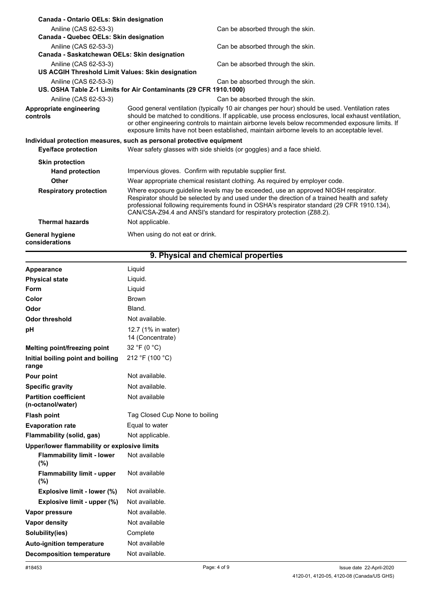| Canada - Ontario OELs: Skin designation           |                                                                                                                                                                                                                                                                                                                                                                                                        |  |
|---------------------------------------------------|--------------------------------------------------------------------------------------------------------------------------------------------------------------------------------------------------------------------------------------------------------------------------------------------------------------------------------------------------------------------------------------------------------|--|
| Aniline (CAS 62-53-3)                             | Can be absorbed through the skin.                                                                                                                                                                                                                                                                                                                                                                      |  |
| Canada - Quebec OELs: Skin designation            |                                                                                                                                                                                                                                                                                                                                                                                                        |  |
| Aniline (CAS 62-53-3)                             | Can be absorbed through the skin.                                                                                                                                                                                                                                                                                                                                                                      |  |
| Canada - Saskatchewan OELs: Skin designation      |                                                                                                                                                                                                                                                                                                                                                                                                        |  |
| Aniline (CAS 62-53-3)                             | Can be absorbed through the skin.                                                                                                                                                                                                                                                                                                                                                                      |  |
| US ACGIH Threshold Limit Values: Skin designation |                                                                                                                                                                                                                                                                                                                                                                                                        |  |
| Aniline (CAS 62-53-3)                             | Can be absorbed through the skin.                                                                                                                                                                                                                                                                                                                                                                      |  |
|                                                   | US. OSHA Table Z-1 Limits for Air Contaminants (29 CFR 1910.1000)                                                                                                                                                                                                                                                                                                                                      |  |
| Aniline (CAS 62-53-3)                             | Can be absorbed through the skin.                                                                                                                                                                                                                                                                                                                                                                      |  |
| Appropriate engineering<br>controls               | Good general ventilation (typically 10 air changes per hour) should be used. Ventilation rates<br>should be matched to conditions. If applicable, use process enclosures, local exhaust ventilation,<br>or other engineering controls to maintain airborne levels below recommended exposure limits. If<br>exposure limits have not been established, maintain airborne levels to an acceptable level. |  |
|                                                   | Individual protection measures, such as personal protective equipment                                                                                                                                                                                                                                                                                                                                  |  |
| <b>Eye/face protection</b>                        | Wear safety glasses with side shields (or goggles) and a face shield.                                                                                                                                                                                                                                                                                                                                  |  |
| <b>Skin protection</b>                            |                                                                                                                                                                                                                                                                                                                                                                                                        |  |
| <b>Hand protection</b>                            | Impervious gloves. Confirm with reputable supplier first.                                                                                                                                                                                                                                                                                                                                              |  |
| Other                                             | Wear appropriate chemical resistant clothing. As required by employer code.                                                                                                                                                                                                                                                                                                                            |  |
| <b>Respiratory protection</b>                     | Where exposure guideline levels may be exceeded, use an approved NIOSH respirator.<br>Respirator should be selected by and used under the direction of a trained health and safety<br>professional following requirements found in OSHA's respirator standard (29 CFR 1910.134),<br>CAN/CSA-Z94.4 and ANSI's standard for respiratory protection (Z88.2).                                              |  |
| <b>Thermal hazards</b>                            | Not applicable.                                                                                                                                                                                                                                                                                                                                                                                        |  |
| General hygiene<br>considerations                 | When using do not eat or drink.                                                                                                                                                                                                                                                                                                                                                                        |  |

| 9. Physical and chemical properties               |                                        |  |
|---------------------------------------------------|----------------------------------------|--|
| Appearance                                        | Liquid                                 |  |
| <b>Physical state</b>                             | Liquid.                                |  |
| Form                                              | Liquid                                 |  |
| Color                                             | <b>Brown</b>                           |  |
| Odor                                              | Bland.                                 |  |
| <b>Odor threshold</b>                             | Not available.                         |  |
| рH                                                | 12.7 (1% in water)<br>14 (Concentrate) |  |
| Melting point/freezing point                      | 32 °F (0 °C)                           |  |
| Initial boiling point and boiling<br>range        | 212 °F (100 °C)                        |  |
| Pour point                                        | Not available.                         |  |
| <b>Specific gravity</b>                           | Not available.                         |  |
| <b>Partition coefficient</b><br>(n-octanol/water) | Not available                          |  |
| <b>Flash point</b>                                | Tag Closed Cup None to boiling         |  |
| <b>Evaporation rate</b>                           | Equal to water                         |  |
| Flammability (solid, gas)                         | Not applicable.                        |  |
| Upper/lower flammability or explosive limits      |                                        |  |
| <b>Flammability limit - lower</b><br>(%)          | Not available                          |  |
| <b>Flammability limit - upper</b><br>(%)          | Not available                          |  |
| Explosive limit - lower (%)                       | Not available.                         |  |
| Explosive limit - upper (%)                       | Not available.                         |  |
| Vapor pressure                                    | Not available.                         |  |
| Vapor density                                     | Not available                          |  |
| Solubility(ies)                                   | Complete                               |  |
| <b>Auto-ignition temperature</b>                  | Not available                          |  |
| <b>Decomposition temperature</b>                  | Not available.                         |  |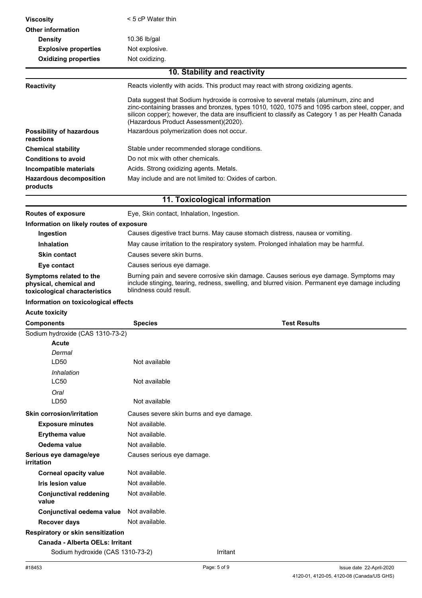| <b>Viscosity</b>                                                                   | $<$ 5 cP Water thin                                                                                                                                                                                                                                                                                                                    |  |  |
|------------------------------------------------------------------------------------|----------------------------------------------------------------------------------------------------------------------------------------------------------------------------------------------------------------------------------------------------------------------------------------------------------------------------------------|--|--|
| <b>Other information</b>                                                           |                                                                                                                                                                                                                                                                                                                                        |  |  |
| <b>Density</b>                                                                     | 10.36 lb/gal                                                                                                                                                                                                                                                                                                                           |  |  |
| <b>Explosive properties</b>                                                        | Not explosive.                                                                                                                                                                                                                                                                                                                         |  |  |
| <b>Oxidizing properties</b>                                                        | Not oxidizing.                                                                                                                                                                                                                                                                                                                         |  |  |
|                                                                                    | 10. Stability and reactivity                                                                                                                                                                                                                                                                                                           |  |  |
| <b>Reactivity</b>                                                                  | Reacts violently with acids. This product may react with strong oxidizing agents.                                                                                                                                                                                                                                                      |  |  |
|                                                                                    | Data suggest that Sodium hydroxide is corrosive to several metals (aluminum, zinc and<br>zinc-containing brasses and bronzes, types 1010, 1020, 1075 and 1095 carbon steel, copper, and<br>silicon copper); however, the data are insufficient to classify as Category 1 as per Health Canada<br>(Hazardous Product Assessment)(2020). |  |  |
| <b>Possibility of hazardous</b><br>reactions                                       | Hazardous polymerization does not occur.                                                                                                                                                                                                                                                                                               |  |  |
| <b>Chemical stability</b>                                                          | Stable under recommended storage conditions.                                                                                                                                                                                                                                                                                           |  |  |
| <b>Conditions to avoid</b>                                                         | Do not mix with other chemicals.                                                                                                                                                                                                                                                                                                       |  |  |
| Incompatible materials                                                             | Acids. Strong oxidizing agents. Metals.                                                                                                                                                                                                                                                                                                |  |  |
| <b>Hazardous decomposition</b><br>products                                         | May include and are not limited to: Oxides of carbon.                                                                                                                                                                                                                                                                                  |  |  |
|                                                                                    | 11. Toxicological information                                                                                                                                                                                                                                                                                                          |  |  |
| <b>Routes of exposure</b>                                                          | Eye, Skin contact, Inhalation, Ingestion.                                                                                                                                                                                                                                                                                              |  |  |
| Information on likely routes of exposure                                           |                                                                                                                                                                                                                                                                                                                                        |  |  |
| Ingestion                                                                          | Causes digestive tract burns. May cause stomach distress, nausea or vomiting.                                                                                                                                                                                                                                                          |  |  |
| <b>Inhalation</b>                                                                  | May cause irritation to the respiratory system. Prolonged inhalation may be harmful.                                                                                                                                                                                                                                                   |  |  |
| <b>Skin contact</b>                                                                | Causes severe skin burns.                                                                                                                                                                                                                                                                                                              |  |  |
| Eye contact                                                                        | Causes serious eye damage.                                                                                                                                                                                                                                                                                                             |  |  |
| Symptoms related to the<br>physical, chemical and<br>toxicological characteristics | Burning pain and severe corrosive skin damage. Causes serious eye damage. Symptoms may<br>include stinging, tearing, redness, swelling, and blurred vision. Permanent eye damage including<br>blindness could result.                                                                                                                  |  |  |
| Information on toxicological effects                                               |                                                                                                                                                                                                                                                                                                                                        |  |  |
| <b>Acute toxicity</b>                                                              |                                                                                                                                                                                                                                                                                                                                        |  |  |
| <b>Components</b>                                                                  | <b>Test Results</b><br><b>Species</b>                                                                                                                                                                                                                                                                                                  |  |  |
| Sodium hydroxide (CAS 1310-73-2)<br><b>Acute</b><br>Dermal                         |                                                                                                                                                                                                                                                                                                                                        |  |  |
| LD50                                                                               | Not available                                                                                                                                                                                                                                                                                                                          |  |  |
| Inhalation<br>LC50                                                                 | Not available                                                                                                                                                                                                                                                                                                                          |  |  |
| Oral                                                                               |                                                                                                                                                                                                                                                                                                                                        |  |  |
| LD50                                                                               | Not available                                                                                                                                                                                                                                                                                                                          |  |  |
| <b>Skin corrosion/irritation</b>                                                   | Causes severe skin burns and eye damage.                                                                                                                                                                                                                                                                                               |  |  |
| <b>Exposure minutes</b>                                                            | Not available.                                                                                                                                                                                                                                                                                                                         |  |  |
| <b>Erythema value</b>                                                              | Not available.                                                                                                                                                                                                                                                                                                                         |  |  |
| Oedema value                                                                       | Not available.                                                                                                                                                                                                                                                                                                                         |  |  |
| Serious eye damage/eye                                                             | Causes serious eye damage.                                                                                                                                                                                                                                                                                                             |  |  |
| irritation                                                                         |                                                                                                                                                                                                                                                                                                                                        |  |  |
| <b>Corneal opacity value</b>                                                       | Not available.                                                                                                                                                                                                                                                                                                                         |  |  |
| Iris lesion value                                                                  | Not available.                                                                                                                                                                                                                                                                                                                         |  |  |
| <b>Conjunctival reddening</b><br>value                                             | Not available.                                                                                                                                                                                                                                                                                                                         |  |  |
| Conjunctival oedema value                                                          | Not available.                                                                                                                                                                                                                                                                                                                         |  |  |
| <b>Recover days</b>                                                                | Not available.                                                                                                                                                                                                                                                                                                                         |  |  |
| Respiratory or skin sensitization                                                  |                                                                                                                                                                                                                                                                                                                                        |  |  |
| <b>Canada - Alberta OELs: Irritant</b><br>Sodium hydroxide (CAS 1310-73-2)         | Irritant                                                                                                                                                                                                                                                                                                                               |  |  |
|                                                                                    |                                                                                                                                                                                                                                                                                                                                        |  |  |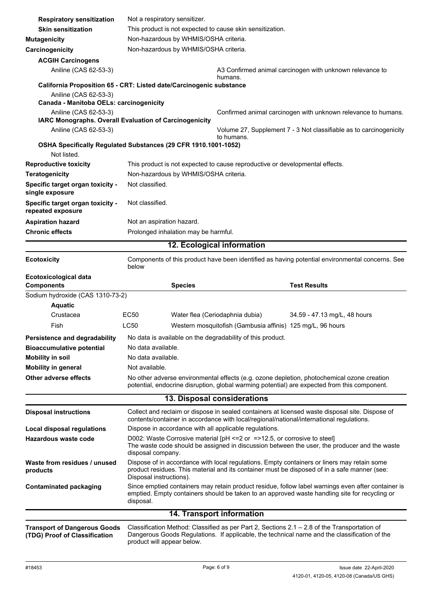| <b>Respiratory sensitization</b><br><b>Skin sensitization</b>        | Not a respiratory sensitizer.<br>This product is not expected to cause skin sensitization. |                                                            |                                                                                                                                                                                                     |
|----------------------------------------------------------------------|--------------------------------------------------------------------------------------------|------------------------------------------------------------|-----------------------------------------------------------------------------------------------------------------------------------------------------------------------------------------------------|
|                                                                      | Non-hazardous by WHMIS/OSHA criteria.                                                      |                                                            |                                                                                                                                                                                                     |
| <b>Mutagenicity</b>                                                  | Non-hazardous by WHMIS/OSHA criteria.                                                      |                                                            |                                                                                                                                                                                                     |
| Carcinogenicity                                                      |                                                                                            |                                                            |                                                                                                                                                                                                     |
| <b>ACGIH Carcinogens</b>                                             |                                                                                            |                                                            |                                                                                                                                                                                                     |
| Aniline (CAS 62-53-3)                                                |                                                                                            | humans.                                                    | A3 Confirmed animal carcinogen with unknown relevance to                                                                                                                                            |
|                                                                      | California Proposition 65 - CRT: Listed date/Carcinogenic substance                        |                                                            |                                                                                                                                                                                                     |
| Aniline (CAS 62-53-3)                                                |                                                                                            |                                                            |                                                                                                                                                                                                     |
| Canada - Manitoba OELs: carcinogenicity                              |                                                                                            |                                                            |                                                                                                                                                                                                     |
| Aniline (CAS 62-53-3)                                                | IARC Monographs. Overall Evaluation of Carcinogenicity                                     |                                                            | Confirmed animal carcinogen with unknown relevance to humans.                                                                                                                                       |
| Aniline (CAS 62-53-3)                                                |                                                                                            |                                                            | Volume 27, Supplement 7 - 3 Not classifiable as to carcinogenicity                                                                                                                                  |
|                                                                      |                                                                                            | to humans.                                                 |                                                                                                                                                                                                     |
|                                                                      | OSHA Specifically Regulated Substances (29 CFR 1910.1001-1052)                             |                                                            |                                                                                                                                                                                                     |
| Not listed.                                                          |                                                                                            |                                                            |                                                                                                                                                                                                     |
| <b>Reproductive toxicity</b>                                         | This product is not expected to cause reproductive or developmental effects.               |                                                            |                                                                                                                                                                                                     |
| <b>Teratogenicity</b>                                                | Non-hazardous by WHMIS/OSHA criteria.                                                      |                                                            |                                                                                                                                                                                                     |
| Specific target organ toxicity -<br>single exposure                  | Not classified.                                                                            |                                                            |                                                                                                                                                                                                     |
| Specific target organ toxicity -<br>repeated exposure                | Not classified.                                                                            |                                                            |                                                                                                                                                                                                     |
| <b>Aspiration hazard</b>                                             | Not an aspiration hazard.                                                                  |                                                            |                                                                                                                                                                                                     |
| <b>Chronic effects</b>                                               | Prolonged inhalation may be harmful.                                                       |                                                            |                                                                                                                                                                                                     |
|                                                                      |                                                                                            | 12. Ecological information                                 |                                                                                                                                                                                                     |
| <b>Ecotoxicity</b>                                                   | below                                                                                      |                                                            | Components of this product have been identified as having potential environmental concerns. See                                                                                                     |
| <b>Ecotoxicological data</b><br><b>Components</b>                    | <b>Species</b>                                                                             |                                                            | <b>Test Results</b>                                                                                                                                                                                 |
| Sodium hydroxide (CAS 1310-73-2)                                     |                                                                                            |                                                            |                                                                                                                                                                                                     |
| <b>Aquatic</b>                                                       |                                                                                            |                                                            |                                                                                                                                                                                                     |
| Crustacea                                                            | <b>EC50</b>                                                                                | Water flea (Ceriodaphnia dubia)                            | 34.59 - 47.13 mg/L, 48 hours                                                                                                                                                                        |
| Fish                                                                 | LC50                                                                                       | Western mosquitofish (Gambusia affinis) 125 mg/L, 96 hours |                                                                                                                                                                                                     |
| <b>Persistence and degradability</b>                                 | No data is available on the degradability of this product.                                 |                                                            |                                                                                                                                                                                                     |
| <b>Bioaccumulative potential</b>                                     | No data available.                                                                         |                                                            |                                                                                                                                                                                                     |
| <b>Mobility in soil</b>                                              | No data available.                                                                         |                                                            |                                                                                                                                                                                                     |
| <b>Mobility in general</b>                                           | Not available.                                                                             |                                                            |                                                                                                                                                                                                     |
| Other adverse effects                                                |                                                                                            |                                                            | No other adverse environmental effects (e.g. ozone depletion, photochemical ozone creation                                                                                                          |
|                                                                      |                                                                                            |                                                            | potential, endocrine disruption, global warming potential) are expected from this component.                                                                                                        |
| 13. Disposal considerations                                          |                                                                                            |                                                            |                                                                                                                                                                                                     |
| <b>Disposal instructions</b>                                         | contents/container in accordance with local/regional/national/international regulations.   |                                                            | Collect and reclaim or dispose in sealed containers at licensed waste disposal site. Dispose of                                                                                                     |
| <b>Local disposal regulations</b>                                    | Dispose in accordance with all applicable regulations.                                     |                                                            |                                                                                                                                                                                                     |
| Hazardous waste code                                                 | D002: Waste Corrosive material [pH <= 2 or = > 12.5, or corrosive to steel]                |                                                            |                                                                                                                                                                                                     |
|                                                                      | disposal company.                                                                          |                                                            | The waste code should be assigned in discussion between the user, the producer and the waste                                                                                                        |
| Waste from residues / unused<br>products                             | Disposal instructions).                                                                    |                                                            | Dispose of in accordance with local regulations. Empty containers or liners may retain some<br>product residues. This material and its container must be disposed of in a safe manner (see:         |
| <b>Contaminated packaging</b>                                        | disposal.                                                                                  |                                                            | Since emptied containers may retain product residue, follow label warnings even after container is<br>emptied. Empty containers should be taken to an approved waste handling site for recycling or |
|                                                                      |                                                                                            | <b>14. Transport information</b>                           |                                                                                                                                                                                                     |
|                                                                      |                                                                                            |                                                            |                                                                                                                                                                                                     |
| <b>Transport of Dangerous Goods</b><br>(TDG) Proof of Classification | product will appear below.                                                                 |                                                            | Classification Method: Classified as per Part 2, Sections 2.1 - 2.8 of the Transportation of<br>Dangerous Goods Regulations. If applicable, the technical name and the classification of the        |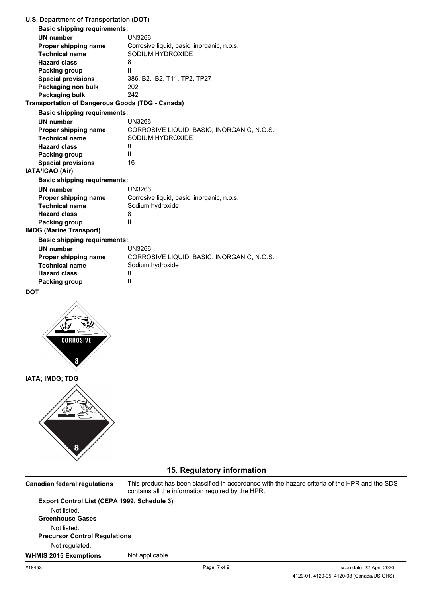| U.S. Department of Transportation (DOT)                 |                                            |
|---------------------------------------------------------|--------------------------------------------|
| <b>Basic shipping requirements:</b>                     |                                            |
| <b>UN number</b>                                        | <b>UN3266</b>                              |
| Proper shipping name                                    | Corrosive liquid, basic, inorganic, n.o.s. |
| <b>Technical name</b>                                   | SODIUM HYDROXIDE                           |
| <b>Hazard class</b>                                     | 8                                          |
| Packing group                                           | Ш                                          |
| <b>Special provisions</b>                               | 386, B2, IB2, T11, TP2, TP27               |
| Packaging non bulk                                      | 202                                        |
| Packaging bulk                                          | 242                                        |
| <b>Transportation of Dangerous Goods (TDG - Canada)</b> |                                            |
| <b>Basic shipping requirements:</b>                     |                                            |
| <b>UN number</b>                                        | UN3266                                     |
| Proper shipping name                                    | CORROSIVE LIQUID, BASIC, INORGANIC, N.O.S. |
| <b>Technical name</b>                                   | SODIUM HYDROXIDE                           |
| <b>Hazard class</b>                                     | 8                                          |
| Packing group                                           | Ш                                          |
| <b>Special provisions</b>                               | 16                                         |
| IATA/ICAO (Air)                                         |                                            |
| <b>Basic shipping requirements:</b>                     |                                            |
| <b>UN number</b>                                        | <b>UN3266</b>                              |
| Proper shipping name                                    | Corrosive liquid, basic, inorganic, n.o.s. |
| <b>Technical name</b>                                   | Sodium hydroxide                           |
| <b>Hazard class</b>                                     | 8                                          |
| Packing group                                           | $\mathbf{I}$                               |
| <b>IMDG (Marine Transport)</b>                          |                                            |
| <b>Basic shipping requirements:</b>                     |                                            |
| <b>UN number</b>                                        | <b>UN3266</b>                              |
| Proper shipping name                                    | CORROSIVE LIQUID, BASIC, INORGANIC, N.O.S. |
| <b>Technical name</b>                                   | Sodium hydroxide                           |
| <b>Hazard class</b>                                     | 8                                          |
| Packing group                                           | $\mathsf{II}$                              |
| <b>DOT</b>                                              |                                            |
|                                                         |                                            |

# **CORROSIVE** 8

**U.S. Department of Transportation (DOT)**

**IATA; IMDG; TDG**



## **15. Regulatory information**

**Canadian federal regulations**

This product has been classified in accordance with the hazard criteria of the HPR and the SDS contains all the information required by the HPR.

**Export Control List (CEPA 1999, Schedule 3)** Not listed. **Greenhouse Gases** Not listed. **Precursor Control Regulations** Not regulated. **WHMIS 2015 Exemptions** Not applicable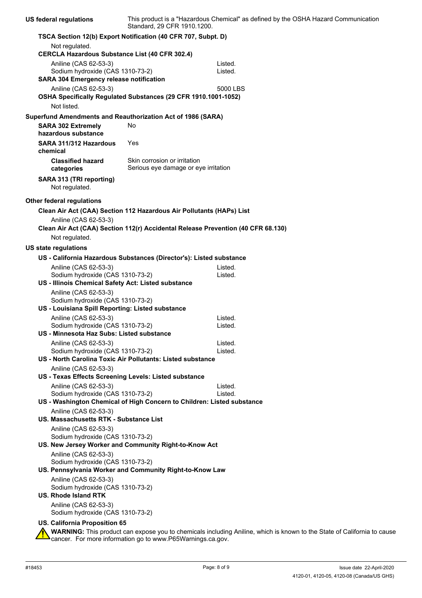| <b>US federal regulations</b>                                                               | Standard, 29 CFR 1910.1200.                                          | This product is a "Hazardous Chemical" as defined by the OSHA Hazard Communication                                      |
|---------------------------------------------------------------------------------------------|----------------------------------------------------------------------|-------------------------------------------------------------------------------------------------------------------------|
| TSCA Section 12(b) Export Notification (40 CFR 707, Subpt. D)                               |                                                                      |                                                                                                                         |
| Not regulated.<br><b>CERCLA Hazardous Substance List (40 CFR 302.4)</b>                     |                                                                      |                                                                                                                         |
| Aniline (CAS 62-53-3)                                                                       |                                                                      | Listed.                                                                                                                 |
| Sodium hydroxide (CAS 1310-73-2)                                                            |                                                                      | Listed.                                                                                                                 |
| <b>SARA 304 Emergency release notification</b>                                              |                                                                      |                                                                                                                         |
| Aniline (CAS 62-53-3)                                                                       |                                                                      | 5000 LBS                                                                                                                |
| OSHA Specifically Regulated Substances (29 CFR 1910.1001-1052)<br>Not listed.               |                                                                      |                                                                                                                         |
| Superfund Amendments and Reauthorization Act of 1986 (SARA)                                 |                                                                      |                                                                                                                         |
| <b>SARA 302 Extremely</b><br>hazardous substance                                            | No                                                                   |                                                                                                                         |
| SARA 311/312 Hazardous<br>chemical                                                          | Yes                                                                  |                                                                                                                         |
| <b>Classified hazard</b><br>categories                                                      | Skin corrosion or irritation<br>Serious eye damage or eye irritation |                                                                                                                         |
| SARA 313 (TRI reporting)<br>Not regulated.                                                  |                                                                      |                                                                                                                         |
| <b>Other federal regulations</b>                                                            |                                                                      |                                                                                                                         |
| Clean Air Act (CAA) Section 112 Hazardous Air Pollutants (HAPs) List                        |                                                                      |                                                                                                                         |
| Aniline (CAS 62-53-3)                                                                       |                                                                      | Clean Air Act (CAA) Section 112(r) Accidental Release Prevention (40 CFR 68.130)                                        |
| Not regulated.                                                                              |                                                                      |                                                                                                                         |
| US state regulations                                                                        |                                                                      |                                                                                                                         |
| US - California Hazardous Substances (Director's): Listed substance                         |                                                                      |                                                                                                                         |
| Aniline (CAS 62-53-3)                                                                       |                                                                      | Listed.                                                                                                                 |
| Sodium hydroxide (CAS 1310-73-2)                                                            |                                                                      | Listed.                                                                                                                 |
| US - Illinois Chemical Safety Act: Listed substance                                         |                                                                      |                                                                                                                         |
| Aniline (CAS 62-53-3)<br>Sodium hydroxide (CAS 1310-73-2)                                   |                                                                      |                                                                                                                         |
| US - Louisiana Spill Reporting: Listed substance                                            |                                                                      |                                                                                                                         |
| Aniline (CAS 62-53-3)                                                                       |                                                                      | Listed.                                                                                                                 |
| Sodium hydroxide (CAS 1310-73-2)                                                            |                                                                      | Listed.                                                                                                                 |
| US - Minnesota Haz Subs: Listed substance                                                   |                                                                      |                                                                                                                         |
| Aniline (CAS 62-53-3)                                                                       |                                                                      | Listed.                                                                                                                 |
| Sodium hydroxide (CAS 1310-73-2)                                                            |                                                                      | Listed.                                                                                                                 |
| US - North Carolina Toxic Air Pollutants: Listed substance                                  |                                                                      |                                                                                                                         |
| Aniline (CAS 62-53-3)                                                                       |                                                                      |                                                                                                                         |
| US - Texas Effects Screening Levels: Listed substance                                       |                                                                      |                                                                                                                         |
| Aniline (CAS 62-53-3)<br>Sodium hydroxide (CAS 1310-73-2)                                   |                                                                      | Listed.<br>Listed.                                                                                                      |
| US - Washington Chemical of High Concern to Children: Listed substance                      |                                                                      |                                                                                                                         |
| Aniline (CAS 62-53-3)                                                                       |                                                                      |                                                                                                                         |
| US. Massachusetts RTK - Substance List                                                      |                                                                      |                                                                                                                         |
| Aniline (CAS 62-53-3)                                                                       |                                                                      |                                                                                                                         |
| Sodium hydroxide (CAS 1310-73-2)                                                            |                                                                      |                                                                                                                         |
| US. New Jersey Worker and Community Right-to-Know Act                                       |                                                                      |                                                                                                                         |
| Aniline (CAS 62-53-3)                                                                       |                                                                      |                                                                                                                         |
| Sodium hydroxide (CAS 1310-73-2)<br>US. Pennsylvania Worker and Community Right-to-Know Law |                                                                      |                                                                                                                         |
| Aniline (CAS 62-53-3)                                                                       |                                                                      |                                                                                                                         |
| Sodium hydroxide (CAS 1310-73-2)<br><b>US. Rhode Island RTK</b>                             |                                                                      |                                                                                                                         |
| Aniline (CAS 62-53-3)<br>Sodium hydroxide (CAS 1310-73-2)                                   |                                                                      |                                                                                                                         |
| US. California Proposition 65                                                               |                                                                      | WARNING: This product can expose you to chemicals including Aniline, which is known to the State of California to cause |
|                                                                                             |                                                                      |                                                                                                                         |